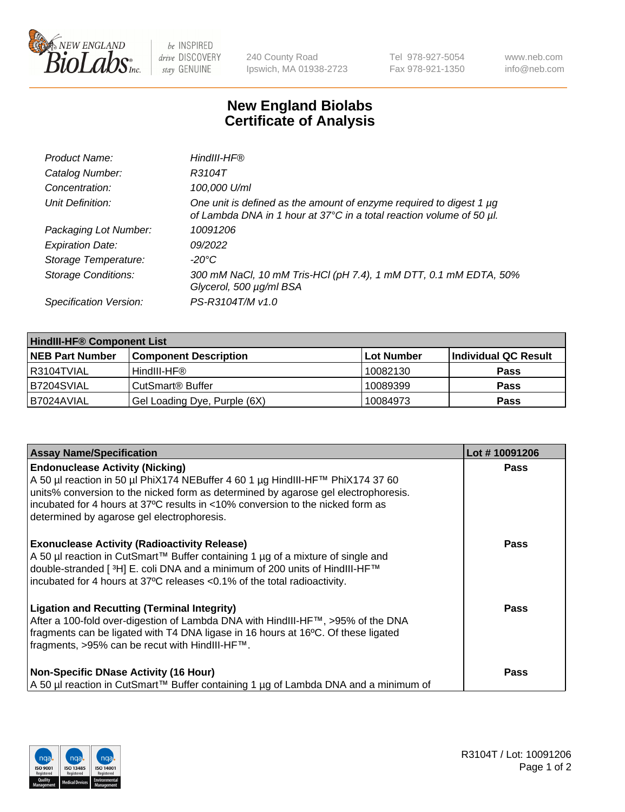

 $be$  INSPIRED drive DISCOVERY stay GENUINE

240 County Road Ipswich, MA 01938-2723 Tel 978-927-5054 Fax 978-921-1350 www.neb.com info@neb.com

## **New England Biolabs Certificate of Analysis**

| Product Name:              | HindIII-HF®                                                                                                                                 |
|----------------------------|---------------------------------------------------------------------------------------------------------------------------------------------|
| Catalog Number:            | R3104T                                                                                                                                      |
| Concentration:             | 100,000 U/ml                                                                                                                                |
| Unit Definition:           | One unit is defined as the amount of enzyme required to digest 1 µg<br>of Lambda DNA in 1 hour at 37°C in a total reaction volume of 50 µl. |
| Packaging Lot Number:      | 10091206                                                                                                                                    |
| <b>Expiration Date:</b>    | 09/2022                                                                                                                                     |
| Storage Temperature:       | $-20^{\circ}$ C                                                                                                                             |
| <b>Storage Conditions:</b> | 300 mM NaCl, 10 mM Tris-HCl (pH 7.4), 1 mM DTT, 0.1 mM EDTA, 50%<br>Glycerol, 500 µg/ml BSA                                                 |
| Specification Version:     | PS-R3104T/M v1.0                                                                                                                            |

| <b>HindIII-HF® Component List</b> |                              |            |                      |  |  |
|-----------------------------------|------------------------------|------------|----------------------|--|--|
| <b>NEB Part Number</b>            | <b>Component Description</b> | Lot Number | Individual QC Result |  |  |
| R3104TVIAL                        | HindIII-HF®                  | 10082130   | <b>Pass</b>          |  |  |
| B7204SVIAL                        | CutSmart <sup>®</sup> Buffer | 10089399   | <b>Pass</b>          |  |  |
| B7024AVIAL                        | Gel Loading Dye, Purple (6X) | 10084973   | <b>Pass</b>          |  |  |

| <b>Assay Name/Specification</b>                                                                                                                                                                                                                                                                                                                | Lot #10091206 |
|------------------------------------------------------------------------------------------------------------------------------------------------------------------------------------------------------------------------------------------------------------------------------------------------------------------------------------------------|---------------|
| <b>Endonuclease Activity (Nicking)</b><br>A 50 µl reaction in 50 µl PhiX174 NEBuffer 4 60 1 µg HindIII-HF™ PhiX174 37 60<br>units% conversion to the nicked form as determined by agarose gel electrophoresis.<br>incubated for 4 hours at 37°C results in <10% conversion to the nicked form as<br>determined by agarose gel electrophoresis. | <b>Pass</b>   |
| <b>Exonuclease Activity (Radioactivity Release)</b><br>A 50 µl reaction in CutSmart™ Buffer containing 1 µg of a mixture of single and<br>double-stranded [3H] E. coli DNA and a minimum of 200 units of HindIII-HF™<br>incubated for 4 hours at 37°C releases <0.1% of the total radioactivity.                                               | Pass          |
| <b>Ligation and Recutting (Terminal Integrity)</b><br>After a 100-fold over-digestion of Lambda DNA with HindIII-HF™, >95% of the DNA<br>fragments can be ligated with T4 DNA ligase in 16 hours at 16°C. Of these ligated<br>fragments, >95% can be recut with HindIII-HF™.                                                                   | <b>Pass</b>   |
| <b>Non-Specific DNase Activity (16 Hour)</b><br>A 50 µl reaction in CutSmart™ Buffer containing 1 µg of Lambda DNA and a minimum of                                                                                                                                                                                                            | Pass          |